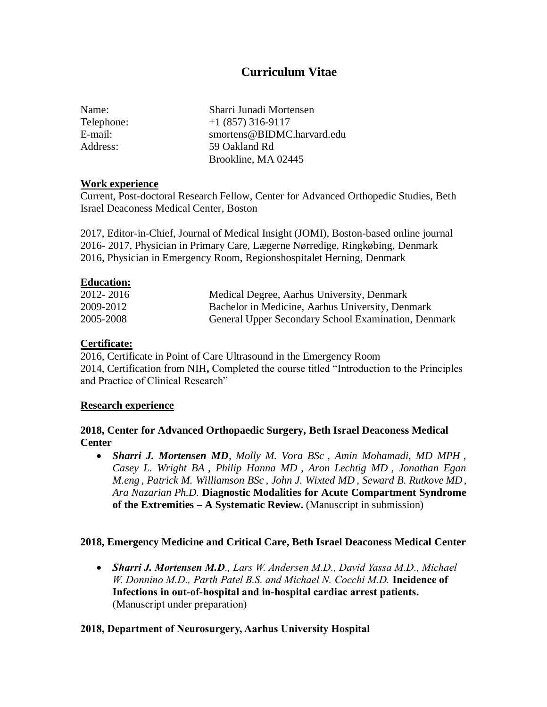# **Curriculum Vitae**

| Name:      | Sharri Junadi Mortensen    |
|------------|----------------------------|
| Telephone: | $+1(857)316-9117$          |
| E-mail:    | smortens@BIDMC.harvard.edu |
| Address:   | 59 Oakland Rd              |
|            | Brookline, MA 02445        |

#### **Work experience**

Current, Post-doctoral Research Fellow, Center for Advanced Orthopedic Studies, Beth Israel Deaconess Medical Center, Boston

2017, Editor-in-Chief, Journal of Medical Insight (JOMI), Boston-based online journal 2016- 2017, Physician in Primary Care, Lægerne Nørredige, Ringkøbing, Denmark 2016, Physician in Emergency Room, Regionshospitalet Herning, Denmark

### **Education:**

| 2012-2016 | Medical Degree, Aarhus University, Denmark          |
|-----------|-----------------------------------------------------|
| 2009-2012 | Bachelor in Medicine, Aarhus University, Denmark    |
| 2005-2008 | General Upper Secondary School Examination, Denmark |

### **Certificate:**

2016, Certificate in Point of Care Ultrasound in the Emergency Room 2014, Certification from NIH**,** Completed the course titled "Introduction to the Principles and Practice of Clinical Research"

#### **Research experience**

**2018, Center for Advanced Orthopaedic Surgery, Beth Israel Deaconess Medical Center**

• *Sharri J. Mortensen MD, Molly M. Vora BSc , Amin Mohamadi, MD MPH , Casey L. Wright BA , Philip Hanna MD , Aron Lechtig MD , Jonathan Egan M.eng , Patrick M. Williamson BSc , John J. Wixted MD , Seward B. Rutkove MD, Ara Nazarian Ph.D.* **Diagnostic Modalities for Acute Compartment Syndrome of the Extremities – A Systematic Review.** (Manuscript in submission)

### **2018, Emergency Medicine and Critical Care, Beth Israel Deaconess Medical Center**

• *Sharri J. Mortensen M.D., Lars W. Andersen M.D., David Yassa M.D., Michael W. Donnino M.D., Parth Patel B.S. and Michael N. Cocchi M.D.* **Incidence of Infections in out-of-hospital and in-hospital cardiac arrest patients.**  (Manuscript under preparation)

### **2018, Department of Neurosurgery, Aarhus University Hospital**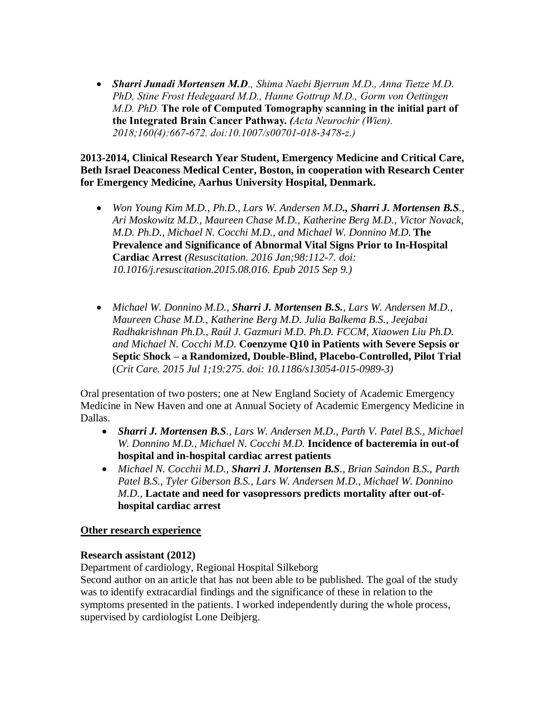• *Sharri Junadi Mortensen M.D., Shima Naebi Bjerrum M.D., Anna Tietze M.D. PhD, Stine Frost Hedegaard M.D., Hanne Gottrup M.D., Gorm von Oettingen M.D. PhD.* **The role of Computed Tomography scanning in the initial part of the Integrated Brain Cancer Pathway.** *(Acta Neurochir (Wien). 2018;160(4):667-672. doi:10.1007/s00701-018-3478-z.)*

**2013-2014, Clinical Research Year Student, Emergency Medicine and Critical Care, Beth Israel Deaconess Medical Center, Boston, in cooperation with Research Center for Emergency Medicine, Aarhus University Hospital, Denmark.**

- *Won Young Kim M.D., Ph.D., Lars W. Andersen M.D., Sharri J. Mortensen B.S., Ari Moskowitz M.D., Maureen Chase M.D., Katherine Berg M.D., Victor Novack, M.D. Ph.D., Michael N. Cocchi M.D., and Michael W. Donnino M.D.* **The Prevalence and Significance of Abnormal Vital Signs Prior to In-Hospital Cardiac Arrest** *(Resuscitation. 2016 Jan;98:112-7. doi: 10.1016/j.resuscitation.2015.08.016. Epub 2015 Sep 9.)*
- *Michael W. Donnino M.D., Sharri J. Mortensen B.S., Lars W. Andersen M.D., Maureen Chase M.D., Katherine Berg M.D. Julia Balkema B.S., Jeejabai Radhakrishnan Ph.D., Raúl J. Gazmuri M.D. Ph.D. FCCM, Xiaowen Liu Ph.D. and Michael N. Cocchi M.D.* **Coenzyme Q10 in Patients with Severe Sepsis or Septic Shock – a Randomized, Double-Blind, Placebo-Controlled, Pilot Trial** (*Crit Care. 2015 Jul 1;19:275. doi: 10.1186/s13054-015-0989-3)*

Oral presentation of two posters; one at New England Society of Academic Emergency Medicine in New Haven and one at Annual Society of Academic Emergency Medicine in Dallas.

- *Sharri J. Mortensen B.S., Lars W. Andersen M.D., Parth V. Patel B.S., Michael W. Donnino M.D., Michael N. Cocchi M.D.* **Incidence of bacteremia in out-of hospital and in-hospital cardiac arrest patients**
- *Michael N. Cocchii M.D., Sharri J. Mortensen B.S., Brian Saindon B.S., Parth Patel B.S., Tyler Giberson B.S., Lars W. Andersen M.D., Michael W. Donnino M.D.,* **Lactate and need for vasopressors predicts mortality after out-ofhospital cardiac arrest**

#### **Other research experience**

#### **Research assistant (2012)**

Department of cardiology, Regional Hospital Silkeborg

Second author on an article that has not been able to be published. The goal of the study was to identify extracardial findings and the significance of these in relation to the symptoms presented in the patients. I worked independently during the whole process, supervised by cardiologist Lone Deibjerg.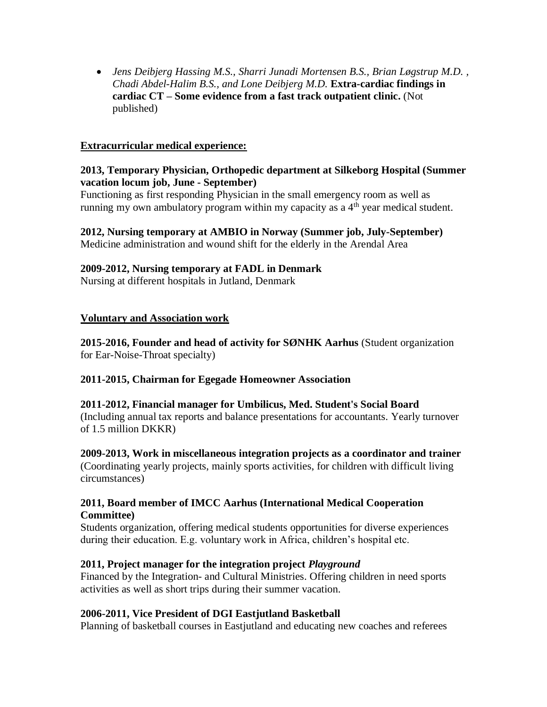• *Jens Deibjerg Hassing M.S., Sharri Junadi Mortensen B.S., Brian Løgstrup M.D. , Chadi Abdel-Halim B.S., and Lone Deibjerg M.D.* **Extra-cardiac findings in cardiac CT – Some evidence from a fast track outpatient clinic.** (Not published)

### **Extracurricular medical experience:**

### **2013, Temporary Physician, Orthopedic department at Silkeborg Hospital (Summer vacation locum job, June - September)**

Functioning as first responding Physician in the small emergency room as well as running my own ambulatory program within my capacity as a  $4<sup>th</sup>$  year medical student.

### **2012, Nursing temporary at AMBIO in Norway (Summer job, July-September)**

Medicine administration and wound shift for the elderly in the Arendal Area

### **2009-2012, Nursing temporary at FADL in Denmark**

Nursing at different hospitals in Jutland, Denmark

### **Voluntary and Association work**

**2015-2016, Founder and head of activity for SØNHK Aarhus** (Student organization for Ear-Noise-Throat specialty)

### **2011-2015, Chairman for Egegade Homeowner Association**

### **2011-2012, Financial manager for Umbilicus, Med. Student's Social Board** (Including annual tax reports and balance presentations for accountants. Yearly turnover of 1.5 million DKKR)

**2009-2013, Work in miscellaneous integration projects as a coordinator and trainer** (Coordinating yearly projects, mainly sports activities, for children with difficult living circumstances)

### **2011, Board member of IMCC Aarhus (International Medical Cooperation Committee)**

Students organization, offering medical students opportunities for diverse experiences during their education. E.g. voluntary work in Africa, children's hospital etc.

### **2011, Project manager for the integration project** *Playground*

Financed by the Integration- and Cultural Ministries. Offering children in need sports activities as well as short trips during their summer vacation.

### **2006-2011, Vice President of DGI Eastjutland Basketball**

Planning of basketball courses in Eastjutland and educating new coaches and referees